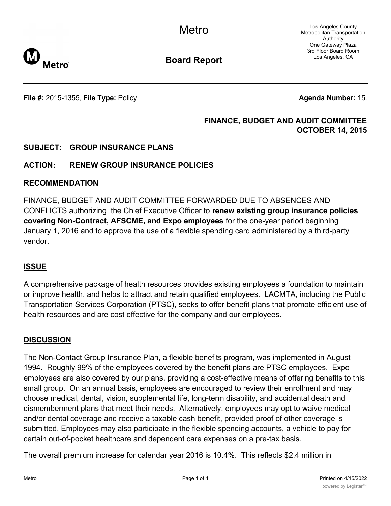Los Angeles County Metropolitan Transportation Authority One Gateway Plaza 3rd Floor Board Room Los Angeles, CA



**Board Report**

**File #:** 2015-1355, File Type: Policy **Agenda Number:** 15.

#### **FINANCE, BUDGET AND AUDIT COMMITTEE OCTOBER 14, 2015**

## **SUBJECT: GROUP INSURANCE PLANS**

## **ACTION: RENEW GROUP INSURANCE POLICIES**

#### **RECOMMENDATION**

FINANCE, BUDGET AND AUDIT COMMITTEE FORWARDED DUE TO ABSENCES AND CONFLICTS authorizing the Chief Executive Officer to **renew existing group insurance policies covering Non-Contract, AFSCME, and Expo employees** for the one-year period beginning January 1, 2016 and to approve the use of a flexible spending card administered by a third-party vendor.

## **ISSUE**

A comprehensive package of health resources provides existing employees a foundation to maintain or improve health, and helps to attract and retain qualified employees. LACMTA, including the Public Transportation Services Corporation (PTSC), seeks to offer benefit plans that promote efficient use of health resources and are cost effective for the company and our employees.

## **DISCUSSION**

The Non-Contact Group Insurance Plan, a flexible benefits program, was implemented in August 1994. Roughly 99% of the employees covered by the benefit plans are PTSC employees. Expo employees are also covered by our plans, providing a cost-effective means of offering benefits to this small group. On an annual basis, employees are encouraged to review their enrollment and may choose medical, dental, vision, supplemental life, long-term disability, and accidental death and dismemberment plans that meet their needs. Alternatively, employees may opt to waive medical and/or dental coverage and receive a taxable cash benefit, provided proof of other coverage is submitted. Employees may also participate in the flexible spending accounts, a vehicle to pay for certain out-of-pocket healthcare and dependent care expenses on a pre-tax basis.

The overall premium increase for calendar year 2016 is 10.4%. This reflects \$2.4 million in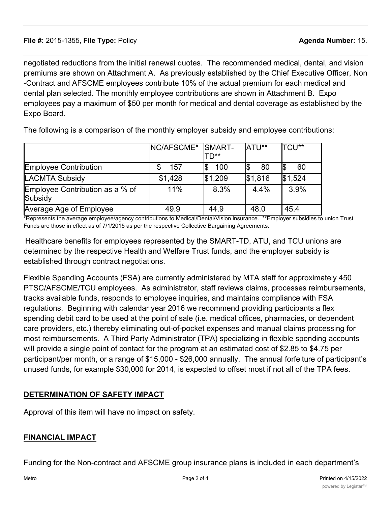negotiated reductions from the initial renewal quotes. The recommended medical, dental, and vision premiums are shown on Attachment A. As previously established by the Chief Executive Officer, Non -Contract and AFSCME employees contribute 10% of the actual premium for each medical and dental plan selected. The monthly employee contributions are shown in Attachment B. Expo employees pay a maximum of \$50 per month for medical and dental coverage as established by the Expo Board.

The following is a comparison of the monthly employer subsidy and employee contributions:

|                                            | NC/AFSCME* SMART- | TD**    | ATU**   | <b>TCU**</b> |
|--------------------------------------------|-------------------|---------|---------|--------------|
| <b>Employee Contribution</b>               | 157               | 100     | 80      | 60           |
| <b>LACMTA Subsidy</b>                      | \$1,428           | \$1,209 | \$1,816 | \$1,524      |
| Employee Contribution as a % of<br>Subsidy | 11%               | 8.3%    | 4.4%    | 3.9%         |
| Average Age of Employee                    | 49.9              | 44.9    | 48.0    | 45.4         |

\*Represents the average employee/agency contributions to Medical/Dental/Vision insurance. \*\*Employer subsidies to union Trust Funds are those in effect as of 7/1/2015 as per the respective Collective Bargaining Agreements.

Healthcare benefits for employees represented by the SMART-TD, ATU, and TCU unions are determined by the respective Health and Welfare Trust funds, and the employer subsidy is established through contract negotiations.

Flexible Spending Accounts (FSA) are currently administered by MTA staff for approximately 450 PTSC/AFSCME/TCU employees. As administrator, staff reviews claims, processes reimbursements, tracks available funds, responds to employee inquiries, and maintains compliance with FSA regulations. Beginning with calendar year 2016 we recommend providing participants a flex spending debit card to be used at the point of sale (i.e. medical offices, pharmacies, or dependent care providers, etc.) thereby eliminating out-of-pocket expenses and manual claims processing for most reimbursements. A Third Party Administrator (TPA) specializing in flexible spending accounts will provide a single point of contact for the program at an estimated cost of \$2.85 to \$4.75 per participant/per month, or a range of \$15,000 - \$26,000 annually. The annual forfeiture of participant's unused funds, for example \$30,000 for 2014, is expected to offset most if not all of the TPA fees.

## **DETERMINATION OF SAFETY IMPACT**

Approval of this item will have no impact on safety.

## **FINANCIAL IMPACT**

Funding for the Non-contract and AFSCME group insurance plans is included in each department's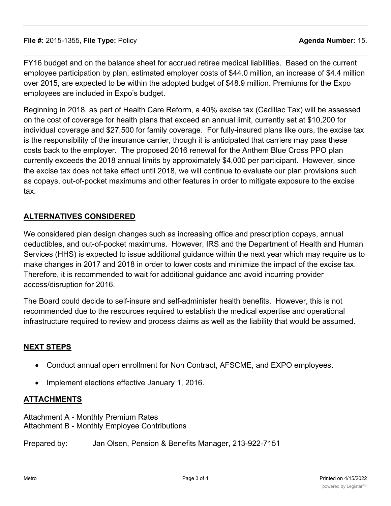FY16 budget and on the balance sheet for accrued retiree medical liabilities. Based on the current employee participation by plan, estimated employer costs of \$44.0 million, an increase of \$4.4 million over 2015, are expected to be within the adopted budget of \$48.9 million. Premiums for the Expo employees are included in Expo's budget.

Beginning in 2018, as part of Health Care Reform, a 40% excise tax (Cadillac Tax) will be assessed on the cost of coverage for health plans that exceed an annual limit, currently set at \$10,200 for individual coverage and \$27,500 for family coverage. For fully-insured plans like ours, the excise tax is the responsibility of the insurance carrier, though it is anticipated that carriers may pass these costs back to the employer. The proposed 2016 renewal for the Anthem Blue Cross PPO plan currently exceeds the 2018 annual limits by approximately \$4,000 per participant. However, since the excise tax does not take effect until 2018, we will continue to evaluate our plan provisions such as copays, out-of-pocket maximums and other features in order to mitigate exposure to the excise tax.

# **ALTERNATIVES CONSIDERED**

We considered plan design changes such as increasing office and prescription copays, annual deductibles, and out-of-pocket maximums. However, IRS and the Department of Health and Human Services (HHS) is expected to issue additional guidance within the next year which may require us to make changes in 2017 and 2018 in order to lower costs and minimize the impact of the excise tax. Therefore, it is recommended to wait for additional guidance and avoid incurring provider access/disruption for 2016.

The Board could decide to self-insure and self-administer health benefits. However, this is not recommended due to the resources required to establish the medical expertise and operational infrastructure required to review and process claims as well as the liability that would be assumed.

## **NEXT STEPS**

- · Conduct annual open enrollment for Non Contract, AFSCME, and EXPO employees.
- · Implement elections effective January 1, 2016.

#### **ATTACHMENTS**

Attachment A - Monthly Premium Rates Attachment B - Monthly Employee Contributions

Prepared by: Jan Olsen, Pension & Benefits Manager, 213-922-7151